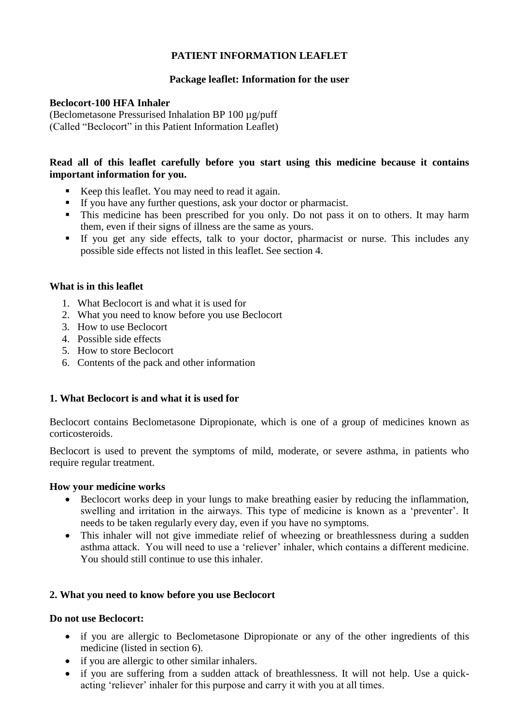# **PATIENT INFORMATION LEAFLET**

# **Package leaflet: Information for the user**

# **Beclocort-100 HFA Inhaler**

(Beclometasone Pressurised Inhalation BP 100 µg/puff (Called "Beclocort" in this Patient Information Leaflet)

# **Read all of this leaflet carefully before you start using this medicine because it contains important information for you.**

- Keep this leaflet. You may need to read it again.
- If you have any further questions, ask your doctor or pharmacist.
- This medicine has been prescribed for you only. Do not pass it on to others. It may harm them, even if their signs of illness are the same as yours.
- If you get any side effects, talk to your doctor, pharmacist or nurse. This includes any possible side effects not listed in this leaflet. See section 4.

## **What is in this leaflet**

- 1. What Beclocort is and what it is used for
- 2. What you need to know before you use Beclocort
- 3. How to use Beclocort
- 4. Possible side effects
- 5. How to store Beclocort
- 6. Contents of the pack and other information

# **1. What Beclocort is and what it is used for**

Beclocort contains Beclometasone Dipropionate, which is one of a group of medicines known as corticosteroids.

Beclocort is used to prevent the symptoms of mild, moderate, or severe asthma, in patients who require regular treatment.

## **How your medicine works**

- Beclocort works deep in your lungs to make breathing easier by reducing the inflammation, swelling and irritation in the airways. This type of medicine is known as a "preventer". It needs to be taken regularly every day, even if you have no symptoms.
- This inhaler will not give immediate relief of wheezing or breathlessness during a sudden asthma attack. You will need to use a 'reliever' inhaler, which contains a different medicine. You should still continue to use this inhaler.

# **2. What you need to know before you use Beclocort**

## **Do not use Beclocort:**

- if you are allergic to Beclometasone Dipropionate or any of the other ingredients of this medicine (listed in section 6).
- if you are allergic to other similar inhalers.
- if you are suffering from a sudden attack of breathlessness. It will not help. Use a quickacting "reliever" inhaler for this purpose and carry it with you at all times.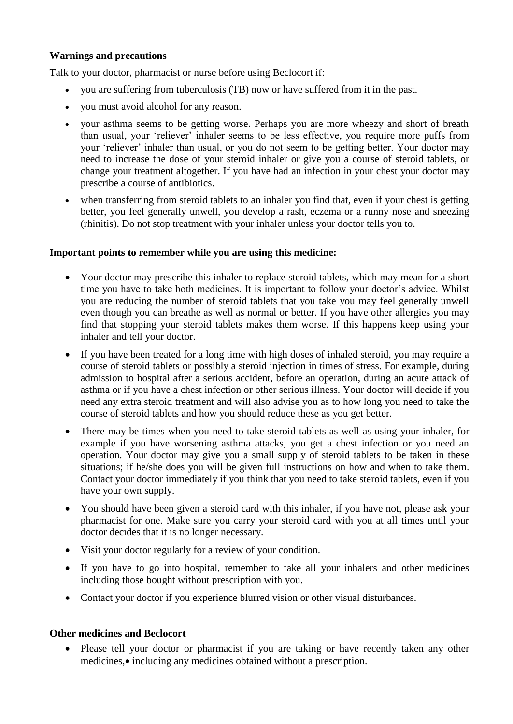## **Warnings and precautions**

Talk to your doctor, pharmacist or nurse before using Beclocort if:

- you are suffering from tuberculosis (TB) now or have suffered from it in the past.
- you must avoid alcohol for any reason.
- your asthma seems to be getting worse. Perhaps you are more wheezy and short of breath than usual, your "reliever" inhaler seems to be less effective, you require more puffs from your "reliever" inhaler than usual, or you do not seem to be getting better. Your doctor may need to increase the dose of your steroid inhaler or give you a course of steroid tablets, or change your treatment altogether. If you have had an infection in your chest your doctor may prescribe a course of antibiotics.
- when transferring from steroid tablets to an inhaler you find that, even if your chest is getting better, you feel generally unwell, you develop a rash, eczema or a runny nose and sneezing (rhinitis). Do not stop treatment with your inhaler unless your doctor tells you to.

## **Important points to remember while you are using this medicine:**

- Your doctor may prescribe this inhaler to replace steroid tablets, which may mean for a short time you have to take both medicines. It is important to follow your doctor's advice. Whilst you are reducing the number of steroid tablets that you take you may feel generally unwell even though you can breathe as well as normal or better. If you have other allergies you may find that stopping your steroid tablets makes them worse. If this happens keep using your inhaler and tell your doctor.
- If you have been treated for a long time with high doses of inhaled steroid, you may require a course of steroid tablets or possibly a steroid injection in times of stress. For example, during admission to hospital after a serious accident, before an operation, during an acute attack of asthma or if you have a chest infection or other serious illness. Your doctor will decide if you need any extra steroid treatment and will also advise you as to how long you need to take the course of steroid tablets and how you should reduce these as you get better.
- There may be times when you need to take steroid tablets as well as using your inhaler, for example if you have worsening asthma attacks, you get a chest infection or you need an operation. Your doctor may give you a small supply of steroid tablets to be taken in these situations; if he/she does you will be given full instructions on how and when to take them. Contact your doctor immediately if you think that you need to take steroid tablets, even if you have your own supply.
- You should have been given a steroid card with this inhaler, if you have not, please ask your pharmacist for one. Make sure you carry your steroid card with you at all times until your doctor decides that it is no longer necessary.
- Visit your doctor regularly for a review of your condition.
- If you have to go into hospital, remember to take all your inhalers and other medicines including those bought without prescription with you.
- Contact your doctor if you experience blurred vision or other visual disturbances.

## **Other medicines and Beclocort**

 Please tell your doctor or pharmacist if you are taking or have recently taken any other medicines, • including any medicines obtained without a prescription.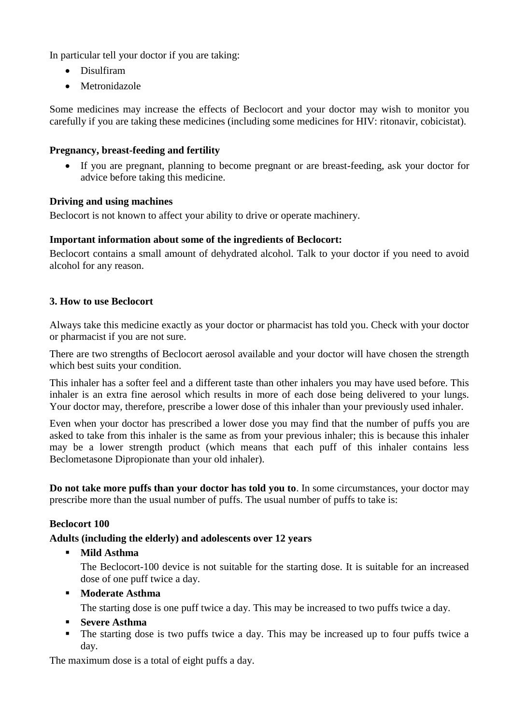In particular tell your doctor if you are taking:

- Disulfiram
- Metronidazole

Some medicines may increase the effects of Beclocort and your doctor may wish to monitor you carefully if you are taking these medicines (including some medicines for HIV: ritonavir, cobicistat).

# **Pregnancy, breast-feeding and fertility**

 If you are pregnant, planning to become pregnant or are breast-feeding, ask your doctor for advice before taking this medicine.

## **Driving and using machines**

Beclocort is not known to affect your ability to drive or operate machinery.

## **Important information about some of the ingredients of Beclocort:**

Beclocort contains a small amount of dehydrated alcohol. Talk to your doctor if you need to avoid alcohol for any reason.

## **3. How to use Beclocort**

Always take this medicine exactly as your doctor or pharmacist has told you. Check with your doctor or pharmacist if you are not sure.

There are two strengths of Beclocort aerosol available and your doctor will have chosen the strength which best suits your condition.

This inhaler has a softer feel and a different taste than other inhalers you may have used before. This inhaler is an extra fine aerosol which results in more of each dose being delivered to your lungs. Your doctor may, therefore, prescribe a lower dose of this inhaler than your previously used inhaler.

Even when your doctor has prescribed a lower dose you may find that the number of puffs you are asked to take from this inhaler is the same as from your previous inhaler; this is because this inhaler may be a lower strength product (which means that each puff of this inhaler contains less Beclometasone Dipropionate than your old inhaler).

**Do not take more puffs than your doctor has told you to**. In some circumstances, your doctor may prescribe more than the usual number of puffs. The usual number of puffs to take is:

## **Beclocort 100**

# **Adults (including the elderly) and adolescents over 12 years**

**Mild Asthma**

The Beclocort-100 device is not suitable for the starting dose. It is suitable for an increased dose of one puff twice a day.

**Moderate Asthma**

The starting dose is one puff twice a day. This may be increased to two puffs twice a day.

- **Severe Asthma**
- The starting dose is two puffs twice a day. This may be increased up to four puffs twice a day.

The maximum dose is a total of eight puffs a day.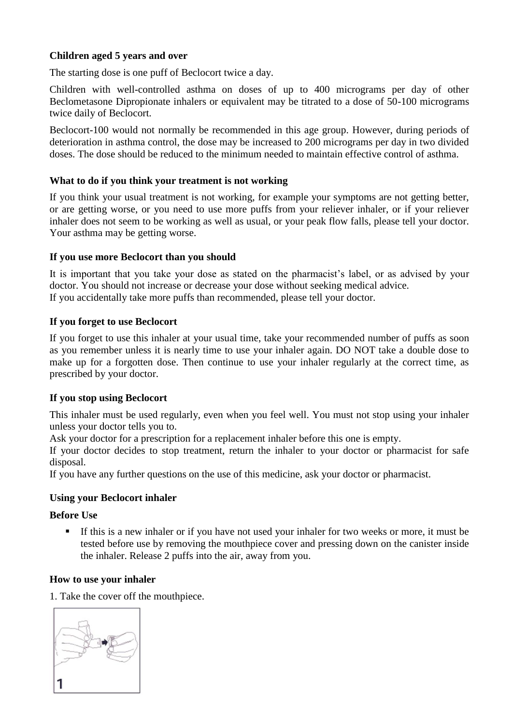# **Children aged 5 years and over**

The starting dose is one puff of Beclocort twice a day.

Children with well-controlled asthma on doses of up to 400 micrograms per day of other Beclometasone Dipropionate inhalers or equivalent may be titrated to a dose of 50-100 micrograms twice daily of Beclocort.

Beclocort-100 would not normally be recommended in this age group. However, during periods of deterioration in asthma control, the dose may be increased to 200 micrograms per day in two divided doses. The dose should be reduced to the minimum needed to maintain effective control of asthma.

## **What to do if you think your treatment is not working**

If you think your usual treatment is not working, for example your symptoms are not getting better, or are getting worse, or you need to use more puffs from your reliever inhaler, or if your reliever inhaler does not seem to be working as well as usual, or your peak flow falls, please tell your doctor. Your asthma may be getting worse.

## **If you use more Beclocort than you should**

It is important that you take your dose as stated on the pharmacist's label, or as advised by your doctor. You should not increase or decrease your dose without seeking medical advice. If you accidentally take more puffs than recommended, please tell your doctor.

## **If you forget to use Beclocort**

If you forget to use this inhaler at your usual time, take your recommended number of puffs as soon as you remember unless it is nearly time to use your inhaler again. DO NOT take a double dose to make up for a forgotten dose. Then continue to use your inhaler regularly at the correct time, as prescribed by your doctor.

# **If you stop using Beclocort**

This inhaler must be used regularly, even when you feel well. You must not stop using your inhaler unless your doctor tells you to.

Ask your doctor for a prescription for a replacement inhaler before this one is empty.

If your doctor decides to stop treatment, return the inhaler to your doctor or pharmacist for safe disposal.

If you have any further questions on the use of this medicine, ask your doctor or pharmacist.

## **Using your Beclocort inhaler**

## **Before Use**

 If this is a new inhaler or if you have not used your inhaler for two weeks or more, it must be tested before use by removing the mouthpiece cover and pressing down on the canister inside the inhaler. Release 2 puffs into the air, away from you.

## **How to use your inhaler**

1. Take the cover off the mouthpiece.

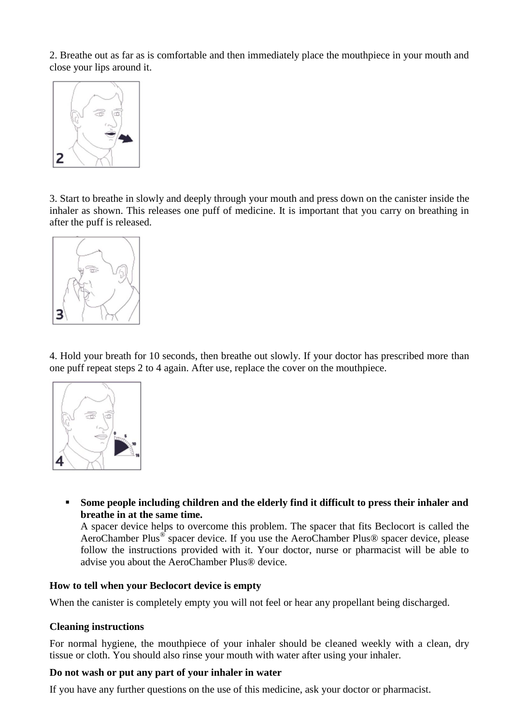2. Breathe out as far as is comfortable and then immediately place the mouthpiece in your mouth and close your lips around it.



3. Start to breathe in slowly and deeply through your mouth and press down on the canister inside the inhaler as shown. This releases one puff of medicine. It is important that you carry on breathing in after the puff is released.



4. Hold your breath for 10 seconds, then breathe out slowly. If your doctor has prescribed more than one puff repeat steps 2 to 4 again. After use, replace the cover on the mouthpiece.



 **Some people including children and the elderly find it difficult to press their inhaler and breathe in at the same time.**

A spacer device helps to overcome this problem. The spacer that fits Beclocort is called the AeroChamber Plus<sup>®</sup> spacer device. If you use the AeroChamber Plus® spacer device, please follow the instructions provided with it. Your doctor, nurse or pharmacist will be able to advise you about the AeroChamber Plus® device.

## **How to tell when your Beclocort device is empty**

When the canister is completely empty you will not feel or hear any propellant being discharged.

#### **Cleaning instructions**

For normal hygiene, the mouthpiece of your inhaler should be cleaned weekly with a clean, dry tissue or cloth. You should also rinse your mouth with water after using your inhaler.

## **Do not wash or put any part of your inhaler in water**

If you have any further questions on the use of this medicine, ask your doctor or pharmacist.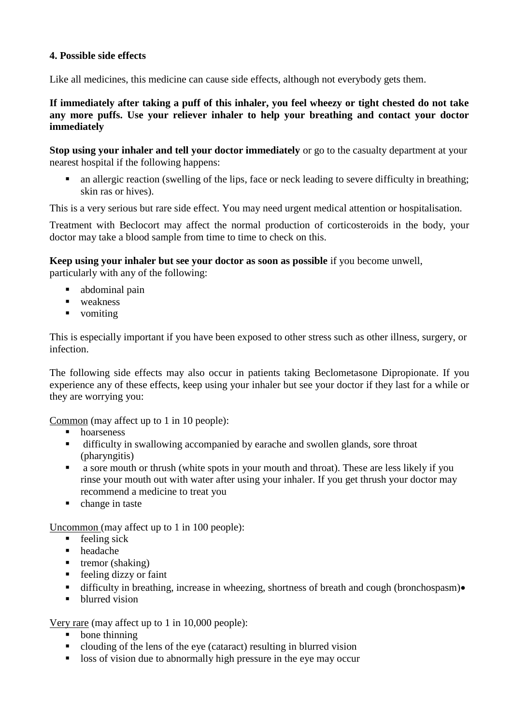# **4. Possible side effects**

Like all medicines, this medicine can cause side effects, although not everybody gets them.

# **If immediately after taking a puff of this inhaler, you feel wheezy or tight chested do not take any more puffs. Use your reliever inhaler to help your breathing and contact your doctor immediately**

**Stop using your inhaler and tell your doctor immediately** or go to the casualty department at your nearest hospital if the following happens:

 an allergic reaction (swelling of the lips, face or neck leading to severe difficulty in breathing; skin ras or hives).

This is a very serious but rare side effect. You may need urgent medical attention or hospitalisation.

Treatment with Beclocort may affect the normal production of corticosteroids in the body, your doctor may take a blood sample from time to time to check on this.

**Keep using your inhaler but see your doctor as soon as possible** if you become unwell, particularly with any of the following:

- abdominal pain
- **u** weakness
- vomiting

This is especially important if you have been exposed to other stress such as other illness, surgery, or infection.

The following side effects may also occur in patients taking Beclometasone Dipropionate. If you experience any of these effects, keep using your inhaler but see your doctor if they last for a while or they are worrying you:

Common (may affect up to 1 in 10 people):

- **hoarseness**
- difficulty in swallowing accompanied by earache and swollen glands, sore throat (pharyngitis)
- **a** sore mouth or thrush (white spots in your mouth and throat). These are less likely if you rinse your mouth out with water after using your inhaler. If you get thrush your doctor may recommend a medicine to treat you
- change in taste

Uncommon (may affect up to 1 in 100 people):

- $\blacksquare$  feeling sick
- headache
- $\blacksquare$  tremor (shaking)
- feeling dizzy or faint
- difficulty in breathing, increase in wheezing, shortness of breath and cough (bronchospasm) $\bullet$
- blurred vision

Very rare (may affect up to 1 in 10,000 people):

- bone thinning
- clouding of the lens of the eye (cataract) resulting in blurred vision
- loss of vision due to abnormally high pressure in the eye may occur